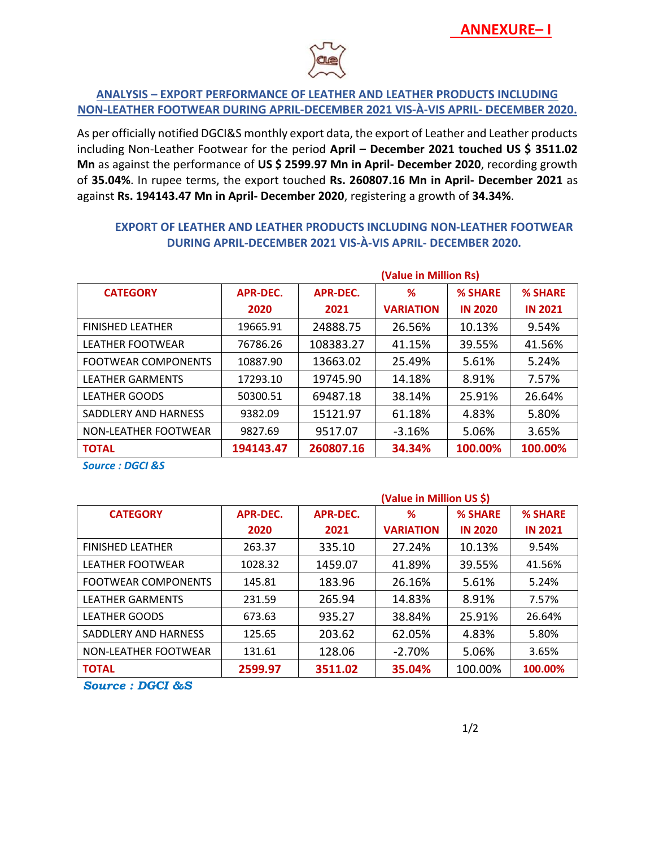

## **ANALYSIS – EXPORT PERFORMANCE OF LEATHER AND LEATHER PRODUCTS INCLUDING NON-LEATHER FOOTWEAR DURING APRIL-DECEMBER 2021 VIS-À-VIS APRIL- DECEMBER 2020.**

As per officially notified DGCI&S monthly export data, the export of Leather and Leather products including Non-Leather Footwear for the period **April – December 2021 touched US \$ 3511.02 Mn** as against the performance of **US \$ 2599.97 Mn in April- December 2020**, recording growth of **35.04%**. In rupee terms, the export touched **Rs. 260807.16 Mn in April- December 2021** as against **Rs. 194143.47 Mn in April- December 2020**, registering a growth of **34.34%**.

|                            |                 | (Value in Million Rs) |                  |                |                |  |  |  |
|----------------------------|-----------------|-----------------------|------------------|----------------|----------------|--|--|--|
| <b>CATEGORY</b>            | <b>APR-DEC.</b> | <b>APR-DEC.</b><br>%  |                  | <b>% SHARE</b> | <b>% SHARE</b> |  |  |  |
|                            | 2020            | 2021                  | <b>VARIATION</b> | <b>IN 2020</b> | <b>IN 2021</b> |  |  |  |
| <b>FINISHED LEATHER</b>    | 19665.91        | 24888.75              | 26.56%           | 10.13%         | 9.54%          |  |  |  |
| <b>LEATHER FOOTWEAR</b>    | 76786.26        | 108383.27             | 41.15%           | 39.55%         | 41.56%         |  |  |  |
| <b>FOOTWEAR COMPONENTS</b> | 10887.90        | 13663.02              | 25.49%           | 5.61%          | 5.24%          |  |  |  |
| <b>LEATHER GARMENTS</b>    | 17293.10        | 19745.90              | 14.18%           | 8.91%          | 7.57%          |  |  |  |
| <b>LEATHER GOODS</b>       | 50300.51        | 69487.18              | 38.14%           | 25.91%         | 26.64%         |  |  |  |
| SADDLERY AND HARNESS       | 9382.09         | 15121.97              | 61.18%           | 4.83%          | 5.80%          |  |  |  |
| NON-LEATHER FOOTWEAR       | 9827.69         | 9517.07               | $-3.16%$         | 5.06%          | 3.65%          |  |  |  |
| <b>TOTAL</b>               | 194143.47       | 260807.16             | 34.34%           | 100.00%        | 100.00%        |  |  |  |

## **EXPORT OF LEATHER AND LEATHER PRODUCTS INCLUDING NON-LEATHER FOOTWEAR DURING APRIL-DECEMBER 2021 VIS-À-VIS APRIL- DECEMBER 2020.**

*Source : DGCI &S*

|                            |                 | (Value in Million US \$) |                  |                |                |  |  |
|----------------------------|-----------------|--------------------------|------------------|----------------|----------------|--|--|
| <b>CATEGORY</b>            | <b>APR-DEC.</b> | APR-DEC.                 | ℅                | % SHARE        | <b>% SHARE</b> |  |  |
|                            | 2020            | 2021                     | <b>VARIATION</b> | <b>IN 2020</b> | <b>IN 2021</b> |  |  |
| <b>FINISHED LEATHER</b>    | 263.37          | 335.10                   | 27.24%           | 10.13%         | 9.54%          |  |  |
| <b>LEATHER FOOTWEAR</b>    | 1028.32         | 1459.07                  | 41.89%           | 39.55%         | 41.56%         |  |  |
| <b>FOOTWEAR COMPONENTS</b> | 145.81          | 183.96                   | 26.16%           | 5.61%          | 5.24%          |  |  |
| <b>LEATHER GARMENTS</b>    | 231.59          | 265.94                   | 14.83%           | 8.91%          | 7.57%          |  |  |
| <b>LEATHER GOODS</b>       | 673.63          | 935.27                   | 38.84%           | 25.91%         | 26.64%         |  |  |
| SADDLERY AND HARNESS       | 125.65          | 203.62                   | 62.05%           | 4.83%          | 5.80%          |  |  |
| NON-LEATHER FOOTWEAR       | 131.61          | 128.06                   | $-2.70\%$        | 5.06%          | 3.65%          |  |  |
| <b>TOTAL</b>               | 2599.97         | 3511.02                  | 35.04%           | 100.00%        | 100.00%        |  |  |

*Source : DGCI &S*